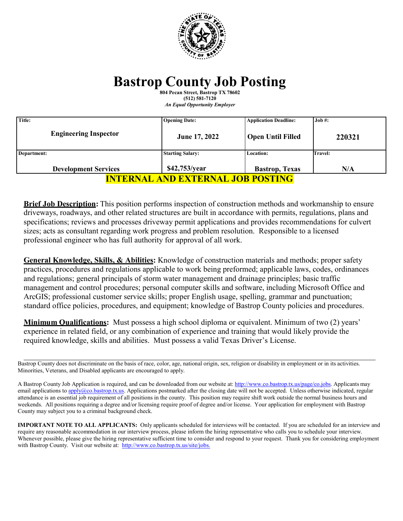

# **Bastrop County Job Posting**

**804 Pecan Street, Bastrop TX 78602 (512) 581-7120** *An Equal Opportunity Employer*

| Title:                                   | <b>Opening Date:</b>    | <b>Application Deadline:</b> | Job #:  |
|------------------------------------------|-------------------------|------------------------------|---------|
| <b>Engineering Inspector</b>             | June 17, 2022           | <b>Open Until Filled</b>     | 220321  |
| Department:                              | <b>Starting Salary:</b> | <b>Location:</b>             | Travel: |
| <b>Development Services</b>              | \$42,753/year           | <b>Bastrop</b> , Texas       | N/A     |
| <u>INTERNAL AND EXTERNAL JOB POSTING</u> |                         |                              |         |

**Brief Job Description:** This position performs inspection of construction methods and workmanship to ensure driveways, roadways, and other related structures are built in accordance with permits, regulations, plans and specifications; reviews and processes driveway permit applications and provides recommendations for culvert sizes; acts as consultant regarding work progress and problem resolution. Responsible to a licensed professional engineer who has full authority for approval of all work.

**General Knowledge, Skills, & Abilities:** Knowledge of construction materials and methods; proper safety practices, procedures and regulations applicable to work being preformed; applicable laws, codes, ordinances and regulations; general principals of storm water management and drainage principles; basic traffic management and control procedures; personal computer skills and software, including Microsoft Office and ArcGIS; professional customer service skills; proper English usage, spelling, grammar and punctuation; standard office policies, procedures, and equipment; knowledge of Bastrop County policies and procedures.

**Minimum Qualifications:** Must possess a high school diploma or equivalent. Minimum of two (2) years' experience in related field, or any combination of experience and training that would likely provide the required knowledge, skills and abilities. Must possess a valid Texas Driver's License.

**IMPORTANT NOTE TO ALL APPLICANTS:** Only applicants scheduled for interviews will be contacted. If you are scheduled for an interview and require any reasonable accommodation in our interview process, please inform the hiring representative who calls you to schedule your interview. Whenever possible, please give the hiring representative sufficient time to consider and respond to your request. Thank you for considering employment with Bastrop County. Visit our website at: [http://www.co.bastrop.tx.us/site/jobs.](http://www.co.bastrop.tx.us/site/jobs)

Bastrop County does not discriminate on the basis of race, color, age, national origin, sex, religion or disability in employment or in its activities. Minorities, Veterans, and Disabled applicants are encouraged to apply.

A Bastrop County Job Application is required, and can be downloaded from our website at[: http://www.co.bastrop.tx.us/page/co.jobs.](http://www.co.bastrop.tx.us/page/co.jobs) Applicants may email applications to [apply@co.bastrop.tx.us.](mailto:apply@co.bastrop.tx.us) Applications postmarked after the closing date will not be accepted. Unless otherwise indicated, regular attendance is an essential job requirement of all positions in the county. This position may require shift work outside the normal business hours and weekends. All positions requiring a degree and/or licensing require proof of degree and/or license. Your application for employment with Bastrop County may subject you to a criminal background check.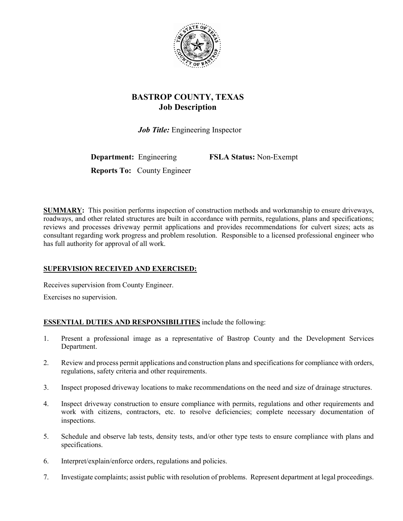

# **BASTROP COUNTY, TEXAS Job Description**

 *Job Title:* Engineering Inspector

**Department:** Engineering **FSLA Status:** Non-Exempt

**Reports To:** County Engineer

**SUMMARY:** This position performs inspection of construction methods and workmanship to ensure driveways, roadways, and other related structures are built in accordance with permits, regulations, plans and specifications; reviews and processes driveway permit applications and provides recommendations for culvert sizes; acts as consultant regarding work progress and problem resolution. Responsible to a licensed professional engineer who has full authority for approval of all work.

# **SUPERVISION RECEIVED AND EXERCISED:**

Receives supervision from County Engineer.

Exercises no supervision.

# **ESSENTIAL DUTIES AND RESPONSIBILITIES** include the following:

- 1. Present a professional image as a representative of Bastrop County and the Development Services Department.
- 2. Review and process permit applications and construction plans and specifications for compliance with orders, regulations, safety criteria and other requirements.
- 3. Inspect proposed driveway locations to make recommendations on the need and size of drainage structures.
- 4. Inspect driveway construction to ensure compliance with permits, regulations and other requirements and work with citizens, contractors, etc. to resolve deficiencies; complete necessary documentation of inspections.
- 5. Schedule and observe lab tests, density tests, and/or other type tests to ensure compliance with plans and specifications.
- 6. Interpret/explain/enforce orders, regulations and policies.
- 7. Investigate complaints; assist public with resolution of problems. Represent department at legal proceedings.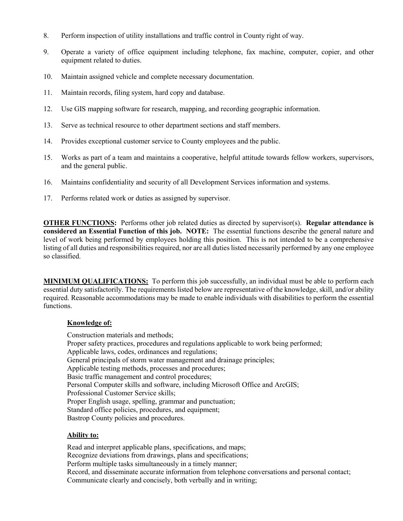- 8. Perform inspection of utility installations and traffic control in County right of way.
- 9. Operate a variety of office equipment including telephone, fax machine, computer, copier, and other equipment related to duties.
- 10. Maintain assigned vehicle and complete necessary documentation.
- 11. Maintain records, filing system, hard copy and database.
- 12. Use GIS mapping software for research, mapping, and recording geographic information.
- 13. Serve as technical resource to other department sections and staff members.
- 14. Provides exceptional customer service to County employees and the public.
- 15. Works as part of a team and maintains a cooperative, helpful attitude towards fellow workers, supervisors, and the general public.
- 16. Maintains confidentiality and security of all Development Services information and systems.
- 17. Performs related work or duties as assigned by supervisor.

**OTHER FUNCTIONS:** Performs other job related duties as directed by supervisor(s). **Regular attendance is considered an Essential Function of this job. NOTE:** The essential functions describe the general nature and level of work being performed by employees holding this position. This is not intended to be a comprehensive listing of all duties and responsibilities required, nor are all duties listed necessarily performed by any one employee so classified.

**MINIMUM QUALIFICATIONS:** To perform this job successfully, an individual must be able to perform each essential duty satisfactorily. The requirements listed below are representative of the knowledge, skill, and/or ability required. Reasonable accommodations may be made to enable individuals with disabilities to perform the essential functions.

#### **Knowledge of:**

Construction materials and methods; Proper safety practices, procedures and regulations applicable to work being performed; Applicable laws, codes, ordinances and regulations; General principals of storm water management and drainage principles; Applicable testing methods, processes and procedures; Basic traffic management and control procedures; Personal Computer skills and software, including Microsoft Office and ArcGIS; Professional Customer Service skills; Proper English usage, spelling, grammar and punctuation; Standard office policies, procedures, and equipment; Bastrop County policies and procedures.

#### **Ability to:**

Read and interpret applicable plans, specifications, and maps; Recognize deviations from drawings, plans and specifications; Perform multiple tasks simultaneously in a timely manner; Record, and disseminate accurate information from telephone conversations and personal contact; Communicate clearly and concisely, both verbally and in writing;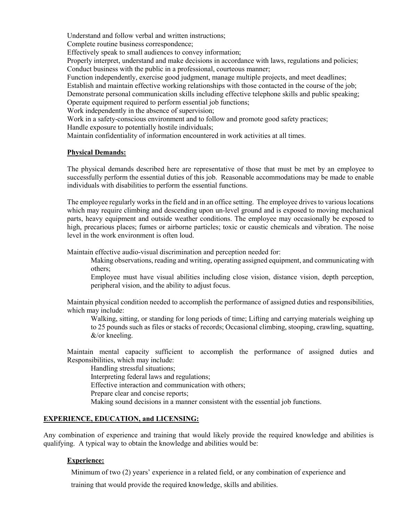Understand and follow verbal and written instructions;

Complete routine business correspondence;

Effectively speak to small audiences to convey information;

Properly interpret, understand and make decisions in accordance with laws, regulations and policies; Conduct business with the public in a professional, courteous manner;

Function independently, exercise good judgment, manage multiple projects, and meet deadlines;

Establish and maintain effective working relationships with those contacted in the course of the job;

Demonstrate personal communication skills including effective telephone skills and public speaking; Operate equipment required to perform essential job functions;

Work independently in the absence of supervision;

Work in a safety-conscious environment and to follow and promote good safety practices;

Handle exposure to potentially hostile individuals;

Maintain confidentiality of information encountered in work activities at all times.

#### **Physical Demands:**

The physical demands described here are representative of those that must be met by an employee to successfully perform the essential duties of this job. Reasonable accommodations may be made to enable individuals with disabilities to perform the essential functions.

The employee regularly works in the field and in an office setting. The employee drives to various locations which may require climbing and descending upon un-level ground and is exposed to moving mechanical parts, heavy equipment and outside weather conditions. The employee may occasionally be exposed to high, precarious places; fumes or airborne particles; toxic or caustic chemicals and vibration. The noise level in the work environment is often loud.

Maintain effective audio-visual discrimination and perception needed for:

Making observations, reading and writing, operating assigned equipment, and communicating with others;

Employee must have visual abilities including close vision, distance vision, depth perception, peripheral vision, and the ability to adjust focus.

Maintain physical condition needed to accomplish the performance of assigned duties and responsibilities, which may include:

Walking, sitting, or standing for long periods of time; Lifting and carrying materials weighing up to 25 pounds such as files or stacks of records; Occasional climbing, stooping, crawling, squatting, &/or kneeling.

Maintain mental capacity sufficient to accomplish the performance of assigned duties and Responsibilities, which may include:

Handling stressful situations; Interpreting federal laws and regulations; Effective interaction and communication with others; Prepare clear and concise reports; Making sound decisions in a manner consistent with the essential job functions.

# **EXPERIENCE, EDUCATION, and LICENSING:**

Any combination of experience and training that would likely provide the required knowledge and abilities is qualifying. A typical way to obtain the knowledge and abilities would be:

# **Experience:**

Minimum of two (2) years' experience in a related field, or any combination of experience and

training that would provide the required knowledge, skills and abilities.